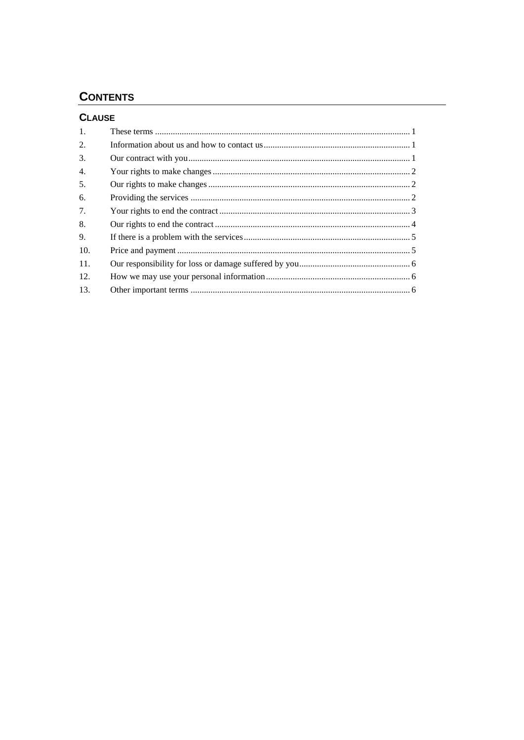# **CONTENTS**

## **CLAUSE**

| $\mathbf{1}$ . |  |
|----------------|--|
| 2.             |  |
| 3.             |  |
| 4.             |  |
| 5.             |  |
| 6.             |  |
| 7.             |  |
| 8.             |  |
| 9.             |  |
| 10.            |  |
| 11.            |  |
| 12.            |  |
| 13.            |  |
|                |  |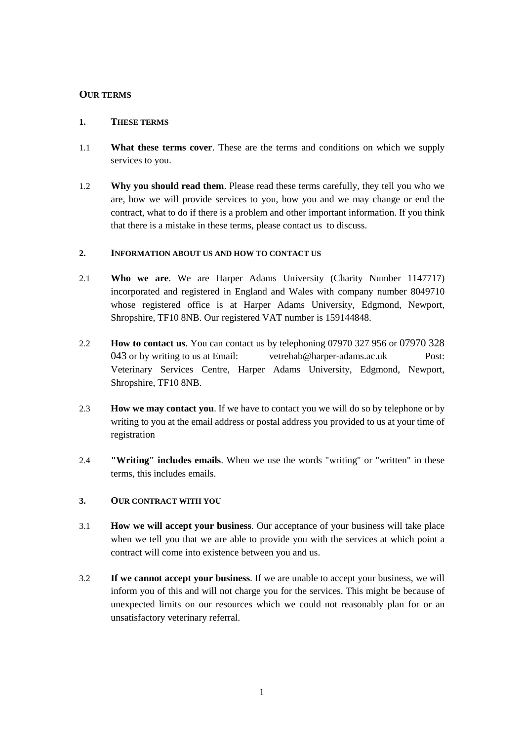## **OUR TERMS**

## **1. THESE TERMS**

- 1.1 **What these terms cover**. These are the terms and conditions on which we supply services to you.
- 1.2 **Why you should read them**. Please read these terms carefully, they tell you who we are, how we will provide services to you, how you and we may change or end the contract, what to do if there is a problem and other important information. If you think that there is a mistake in these terms, please contact us to discuss.

## **2. INFORMATION ABOUT US AND HOW TO CONTACT US**

- 2.1 **Who we are**. We are Harper Adams University (Charity Number 1147717) incorporated and registered in England and Wales with company number 8049710 whose registered office is at Harper Adams University, Edgmond, Newport, Shropshire, TF10 8NB. Our registered VAT number is 159144848.
- 2.2 **How to contact us**. You can contact us by telephoning 07970 327 956 or 07970 328 043 or by writing to us at Email: vetrehab@harper-adams.ac.uk Post: Veterinary Services Centre, Harper Adams University, Edgmond, Newport, Shropshire, TF10 8NB.
- 2.3 **How we may contact you**. If we have to contact you we will do so by telephone or by writing to you at the email address or postal address you provided to us at your time of registration
- 2.4 **"Writing" includes emails**. When we use the words "writing" or "written" in these terms, this includes emails.

## **3. OUR CONTRACT WITH YOU**

- 3.1 **How we will accept your business**. Our acceptance of your business will take place when we tell you that we are able to provide you with the services at which point a contract will come into existence between you and us.
- 3.2 **If we cannot accept your business**. If we are unable to accept your business, we will inform you of this and will not charge you for the services. This might be because of unexpected limits on our resources which we could not reasonably plan for or an unsatisfactory veterinary referral.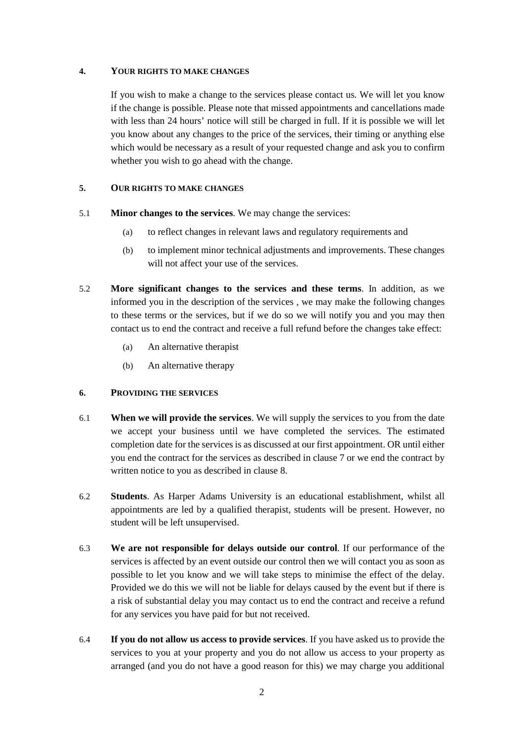## **4. YOUR RIGHTS TO MAKE CHANGES**

If you wish to make a change to the services please contact us. We will let you know if the change is possible. Please note that missed appointments and cancellations made with less than 24 hours' notice will still be charged in full. If it is possible we will let you know about any changes to the price of the services, their timing or anything else which would be necessary as a result of your requested change and ask you to confirm whether you wish to go ahead with the change.

## <span id="page-2-0"></span>**5. OUR RIGHTS TO MAKE CHANGES**

- 5.1 **Minor changes to the services**. We may change the services:
	- (a) to reflect changes in relevant laws and regulatory requirements and
	- (b) to implement minor technical adjustments and improvements. These changes will not affect your use of the services.
- <span id="page-2-1"></span>5.2 **More significant changes to the services and these terms**. In addition, as we informed you in the description of the services , we may make the following changes to these terms or the services, but if we do so we will notify you and you may then contact us to end the contract and receive a full refund before the changes take effect:
	- (a) An alternative therapist
	- (b) An alternative therapy

## **6. PROVIDING THE SERVICES**

- 6.1 **When we will provide the services**. We will supply the services to you from the date we accept your business until we have completed the services. The estimated completion date for the services is as discussed at our first appointment. OR until either you end the contract for the services as described in clause [7](#page-3-0) or we end the contract by written notice to you as described in clause [8.](#page-4-0)
- 6.2 **Students**. As Harper Adams University is an educational establishment, whilst all appointments are led by a qualified therapist, students will be present. However, no student will be left unsupervised.
- 6.3 **We are not responsible for delays outside our control**. If our performance of the services is affected by an event outside our control then we will contact you as soon as possible to let you know and we will take steps to minimise the effect of the delay. Provided we do this we will not be liable for delays caused by the event but if there is a risk of substantial delay you may contact us to end the contract and receive a refund for any services you have paid for but not received.
- 6.4 **If you do not allow us access to provide services**. If you have asked us to provide the services to you at your property and you do not allow us access to your property as arranged (and you do not have a good reason for this) we may charge you additional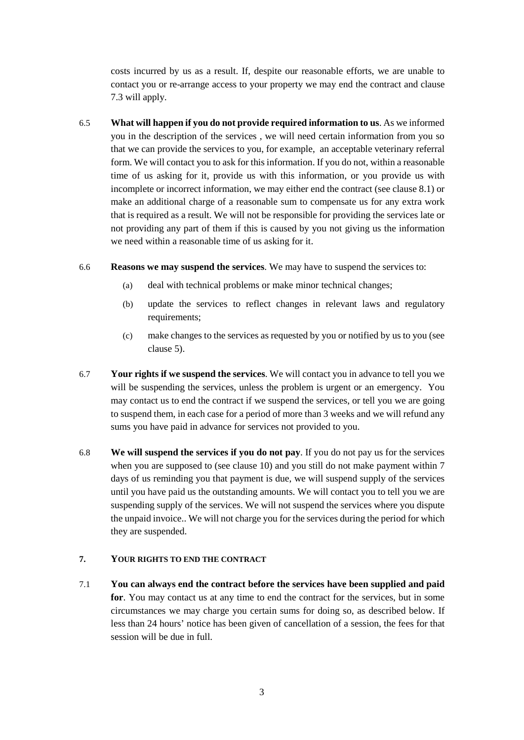costs incurred by us as a result. If, despite our reasonable efforts, we are unable to contact you or re-arrange access to your property we may end the contract and clause [7.3](#page-4-1) will apply.

- 6.5 **What will happen if you do not provide required information to us**. As we informed you in the description of the services , we will need certain information from you so that we can provide the services to you, for example, an acceptable veterinary referral form. We will contact you to ask for this information. If you do not, within a reasonable time of us asking for it, provide us with this information, or you provide us with incomplete or incorrect information, we may either end the contract (see clause [8.1\)](#page-4-2) or make an additional charge of a reasonable sum to compensate us for any extra work that is required as a result. We will not be responsible for providing the services late or not providing any part of them if this is caused by you not giving us the information we need within a reasonable time of us asking for it.
- 6.6 **Reasons we may suspend the services**. We may have to suspend the services to:
	- (a) deal with technical problems or make minor technical changes;
	- (b) update the services to reflect changes in relevant laws and regulatory requirements;
	- (c) make changes to the services as requested by you or notified by us to you (see clause [5\)](#page-2-0).
- 6.7 **Your rights if we suspend the services**. We will contact you in advance to tell you we will be suspending the services, unless the problem is urgent or an emergency. You may contact us to end the contract if we suspend the services, or tell you we are going to suspend them, in each case for a period of more than 3 weeks and we will refund any sums you have paid in advance for services not provided to you.
- 6.8 **We will suspend the services if you do not pay**. If you do not pay us for the services when you are supposed to (see clause 10) and you still do not make payment within 7 days of us reminding you that payment is due, we will suspend supply of the services until you have paid us the outstanding amounts. We will contact you to tell you we are suspending supply of the services. We will not suspend the services where you dispute the unpaid invoice.. We will not charge you for the services during the period for which they are suspended.

## <span id="page-3-0"></span>**7. YOUR RIGHTS TO END THE CONTRACT**

7.1 **You can always end the contract before the services have been supplied and paid for**. You may contact us at any time to end the contract for the services, but in some circumstances we may charge you certain sums for doing so, as described below. If less than 24 hours' notice has been given of cancellation of a session, the fees for that session will be due in full.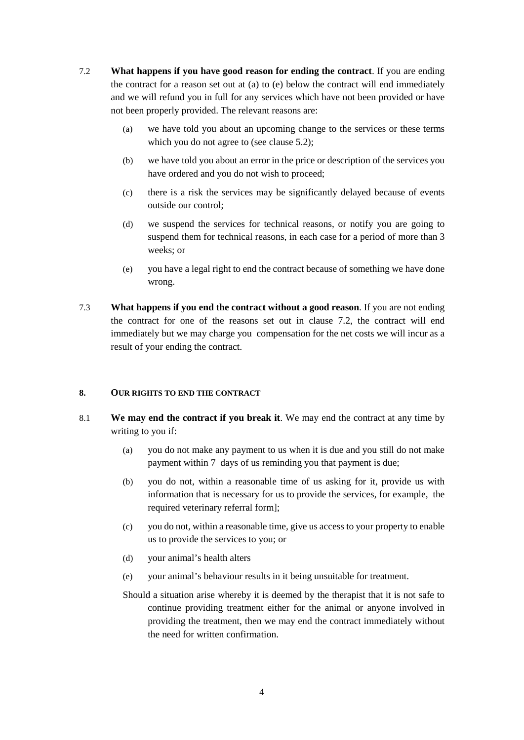- <span id="page-4-3"></span>7.2 **What happens if you have good reason for ending the contract**. If you are ending the contract for a reason set out at (a) to (e) below the contract will end immediately and we will refund you in full for any services which have not been provided or have not been properly provided. The relevant reasons are:
	- (a) we have told you about an upcoming change to the services or these terms which you do not agree to (see clause [5.2\)](#page-2-1);
	- (b) we have told you about an error in the price or description of the services you have ordered and you do not wish to proceed;
	- (c) there is a risk the services may be significantly delayed because of events outside our control;
	- (d) we suspend the services for technical reasons, or notify you are going to suspend them for technical reasons, in each case for a period of more than 3 weeks; or
	- (e) you have a legal right to end the contract because of something we have done wrong.
- <span id="page-4-1"></span>7.3 **What happens if you end the contract without a good reason**. If you are not ending the contract for one of the reasons set out in clause [7.2,](#page-4-3) the contract will end immediately but we may charge you compensation for the net costs we will incur as a result of your ending the contract.

## <span id="page-4-2"></span><span id="page-4-0"></span>**8. OUR RIGHTS TO END THE CONTRACT**

- 8.1 **We may end the contract if you break it**. We may end the contract at any time by writing to you if:
	- (a) you do not make any payment to us when it is due and you still do not make payment within 7 days of us reminding you that payment is due;
	- (b) you do not, within a reasonable time of us asking for it, provide us with information that is necessary for us to provide the services, for example, the required veterinary referral form];
	- (c) you do not, within a reasonable time, give us access to your property to enable us to provide the services to you; or
	- (d) your animal's health alters
	- (e) your animal's behaviour results in it being unsuitable for treatment.
	- Should a situation arise whereby it is deemed by the therapist that it is not safe to continue providing treatment either for the animal or anyone involved in providing the treatment, then we may end the contract immediately without the need for written confirmation.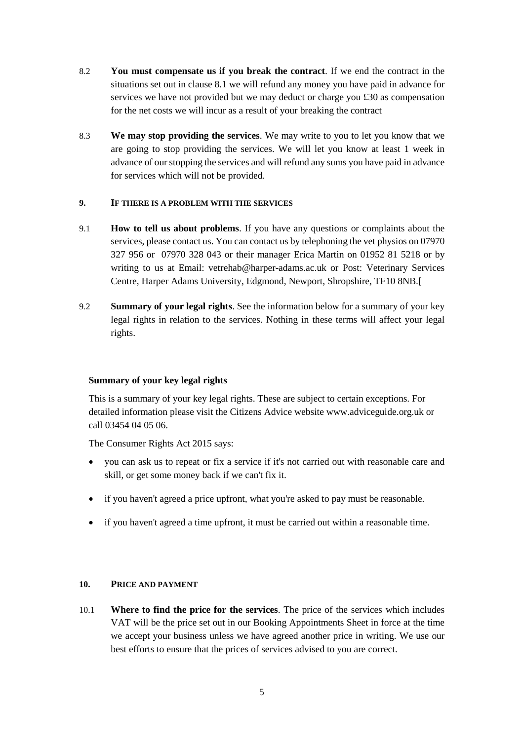- 8.2 **You must compensate us if you break the contract**. If we end the contract in the situations set out in clause [8.1](#page-4-2) we will refund any money you have paid in advance for services we have not provided but we may deduct or charge you £30 as compensation for the net costs we will incur as a result of your breaking the contract
- 8.3 **We may stop providing the services**. We may write to you to let you know that we are going to stop providing the services. We will let you know at least 1 week in advance of our stopping the services and will refund any sums you have paid in advance for services which will not be provided.

## **9. IF THERE IS A PROBLEM WITH THE SERVICES**

- 9.1 **How to tell us about problems**. If you have any questions or complaints about the services, please contact us. You can contact us by telephoning the vet physios on 07970 327 956 or 07970 328 043 or their manager Erica Martin on 01952 81 5218 or by writing to us at Email: vetrehab@harper-adams.ac.uk or Post: Veterinary Services Centre, Harper Adams University, Edgmond, Newport, Shropshire, TF10 8NB.[
- 9.2 **Summary of your legal rights**. See the information below for a summary of your key legal rights in relation to the services. Nothing in these terms will affect your legal rights.

## **Summary of your key legal rights**

This is a summary of your key legal rights. These are subject to certain exceptions. For detailed information please visit the Citizens Advice website www.adviceguide.org.uk or call 03454 04 05 06.

The Consumer Rights Act 2015 says:

- you can ask us to repeat or fix a service if it's not carried out with reasonable care and skill, or get some money back if we can't fix it.
- if you haven't agreed a price upfront, what you're asked to pay must be reasonable.
- if you haven't agreed a time upfront, it must be carried out within a reasonable time.

## **10. PRICE AND PAYMENT**

10.1 **Where to find the price for the services**. The price of the services which includes VAT will be the price set out in our Booking Appointments Sheet in force at the time we accept your business unless we have agreed another price in writing. We use our best efforts to ensure that the prices of services advised to you are correct.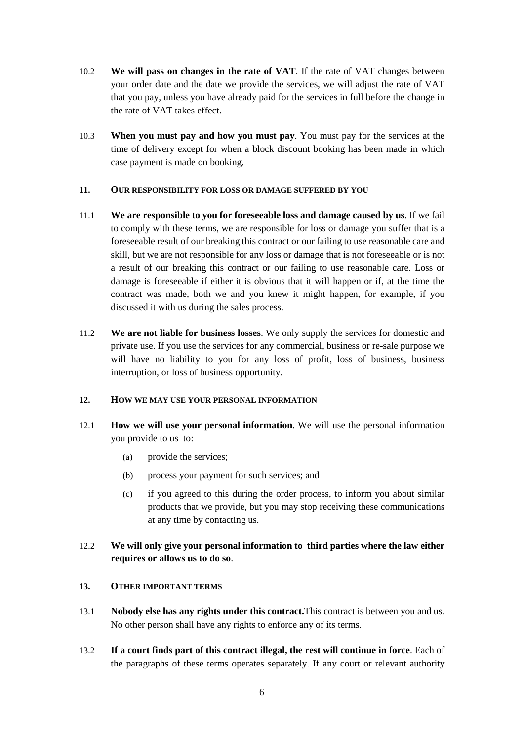- 10.2 **We will pass on changes in the rate of VAT**. If the rate of VAT changes between your order date and the date we provide the services, we will adjust the rate of VAT that you pay, unless you have already paid for the services in full before the change in the rate of VAT takes effect.
- 10.3 **When you must pay and how you must pay**. You must pay for the services at the time of delivery except for when a block discount booking has been made in which case payment is made on booking.

## **11. OUR RESPONSIBILITY FOR LOSS OR DAMAGE SUFFERED BY YOU**

- 11.1 **We are responsible to you for foreseeable loss and damage caused by us**. If we fail to comply with these terms, we are responsible for loss or damage you suffer that is a foreseeable result of our breaking this contract or our failing to use reasonable care and skill, but we are not responsible for any loss or damage that is not foreseeable or is not a result of our breaking this contract or our failing to use reasonable care. Loss or damage is foreseeable if either it is obvious that it will happen or if, at the time the contract was made, both we and you knew it might happen, for example, if you discussed it with us during the sales process.
- 11.2 **We are not liable for business losses**. We only supply the services for domestic and private use. If you use the services for any commercial, business or re-sale purpose we will have no liability to you for any loss of profit, loss of business, business interruption, or loss of business opportunity.

## **12. HOW WE MAY USE YOUR PERSONAL INFORMATION**

- 12.1 **How we will use your personal information**. We will use the personal information you provide to us to:
	- (a) provide the services;
	- (b) process your payment for such services; and
	- (c) if you agreed to this during the order process, to inform you about similar products that we provide, but you may stop receiving these communications at any time by contacting us.
- 12.2 **We will only give your personal information to third parties where the law either requires or allows us to do so**.
- **13. OTHER IMPORTANT TERMS**
- 13.1 **Nobody else has any rights under this contract.**This contract is between you and us. No other person shall have any rights to enforce any of its terms.
- 13.2 **If a court finds part of this contract illegal, the rest will continue in force**. Each of the paragraphs of these terms operates separately. If any court or relevant authority